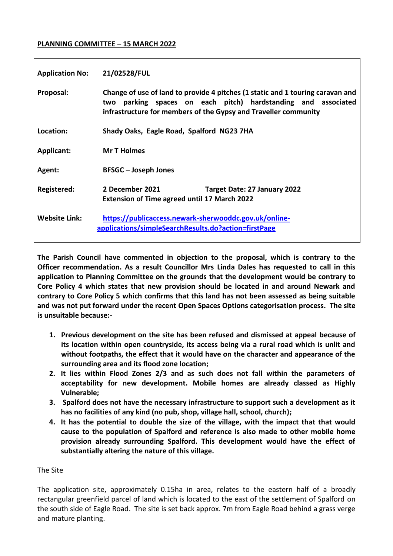#### **PLANNING COMMITTEE – 15 MARCH 2022**

| <b>Application No:</b> | 21/02528/FUL                                                                                                                                                                                                          |
|------------------------|-----------------------------------------------------------------------------------------------------------------------------------------------------------------------------------------------------------------------|
| Proposal:              | Change of use of land to provide 4 pitches (1 static and 1 touring caravan and<br>parking spaces on each pitch) hardstanding and associated<br>two<br>infrastructure for members of the Gypsy and Traveller community |
| Location:              | Shady Oaks, Eagle Road, Spalford NG23 7HA                                                                                                                                                                             |
| Applicant:             | <b>Mr T Holmes</b>                                                                                                                                                                                                    |
| Agent:                 | <b>BFSGC – Joseph Jones</b>                                                                                                                                                                                           |
| <b>Registered:</b>     | 2 December 2021<br>Target Date: 27 January 2022<br><b>Extension of Time agreed until 17 March 2022</b>                                                                                                                |
| <b>Website Link:</b>   | https://publicaccess.newark-sherwooddc.gov.uk/online-<br>applications/simpleSearchResults.do?action=firstPage                                                                                                         |

**The Parish Council have commented in objection to the proposal, which is contrary to the Officer recommendation. As a result Councillor Mrs Linda Dales has requested to call in this application to Planning Committee on the grounds that the development would be contrary to Core Policy 4 which states that new provision should be located in and around Newark and contrary to Core Policy 5 which confirms that this land has not been assessed as being suitable and was not put forward under the recent Open Spaces Options categorisation process. The site is unsuitable because:-**

- **1. Previous development on the site has been refused and dismissed at appeal because of its location within open countryside, its access being via a rural road which is unlit and without footpaths, the effect that it would have on the character and appearance of the surrounding area and its flood zone location;**
- **2. It lies within Flood Zones 2/3 and as such does not fall within the parameters of acceptability for new development. Mobile homes are already classed as Highly Vulnerable;**
- **3. Spalford does not have the necessary infrastructure to support such a development as it has no facilities of any kind (no pub, shop, village hall, school, church);**
- **4. It has the potential to double the size of the village, with the impact that that would cause to the population of Spalford and reference is also made to other mobile home provision already surrounding Spalford. This development would have the effect of substantially altering the nature of this village.**

# The Site

The application site, approximately 0.15ha in area, relates to the eastern half of a broadly rectangular greenfield parcel of land which is located to the east of the settlement of Spalford on the south side of Eagle Road. The site is set back approx. 7m from Eagle Road behind a grass verge and mature planting.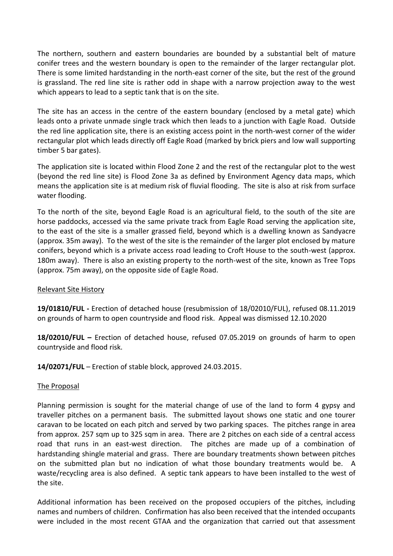The northern, southern and eastern boundaries are bounded by a substantial belt of mature conifer trees and the western boundary is open to the remainder of the larger rectangular plot. There is some limited hardstanding in the north-east corner of the site, but the rest of the ground is grassland. The red line site is rather odd in shape with a narrow projection away to the west which appears to lead to a septic tank that is on the site.

The site has an access in the centre of the eastern boundary (enclosed by a metal gate) which leads onto a private unmade single track which then leads to a junction with Eagle Road. Outside the red line application site, there is an existing access point in the north-west corner of the wider rectangular plot which leads directly off Eagle Road (marked by brick piers and low wall supporting timber 5 bar gates).

The application site is located within Flood Zone 2 and the rest of the rectangular plot to the west (beyond the red line site) is Flood Zone 3a as defined by Environment Agency data maps, which means the application site is at medium risk of fluvial flooding. The site is also at risk from surface water flooding.

To the north of the site, beyond Eagle Road is an agricultural field, to the south of the site are horse paddocks, accessed via the same private track from Eagle Road serving the application site, to the east of the site is a smaller grassed field, beyond which is a dwelling known as Sandyacre (approx. 35m away). To the west of the site is the remainder of the larger plot enclosed by mature conifers, beyond which is a private access road leading to Croft House to the south-west (approx. 180m away). There is also an existing property to the north-west of the site, known as Tree Tops (approx. 75m away), on the opposite side of Eagle Road.

# Relevant Site History

**19/01810/FUL -** Erection of detached house (resubmission of 18/02010/FUL), refused 08.11.2019 on grounds of harm to open countryside and flood risk. Appeal was dismissed 12.10.2020

**18/02010/FUL –** Erection of detached house, refused 07.05.2019 on grounds of harm to open countryside and flood risk.

**14/02071/FUL** – Erection of stable block, approved 24.03.2015.

#### The Proposal

Planning permission is sought for the material change of use of the land to form 4 gypsy and traveller pitches on a permanent basis. The submitted layout shows one static and one tourer caravan to be located on each pitch and served by two parking spaces. The pitches range in area from approx. 257 sqm up to 325 sqm in area. There are 2 pitches on each side of a central access road that runs in an east-west direction. The pitches are made up of a combination of hardstanding shingle material and grass. There are boundary treatments shown between pitches on the submitted plan but no indication of what those boundary treatments would be. A waste/recycling area is also defined. A septic tank appears to have been installed to the west of the site.

Additional information has been received on the proposed occupiers of the pitches, including names and numbers of children. Confirmation has also been received that the intended occupants were included in the most recent GTAA and the organization that carried out that assessment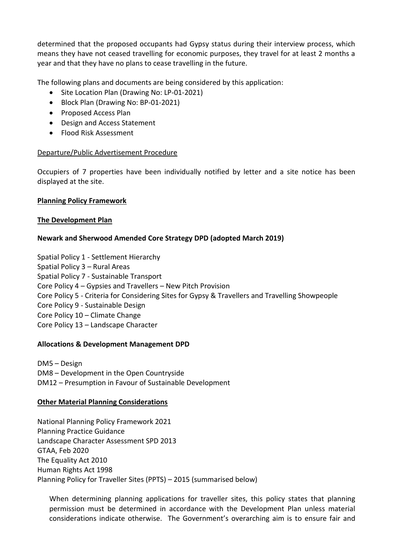determined that the proposed occupants had Gypsy status during their interview process, which means they have not ceased travelling for economic purposes, they travel for at least 2 months a year and that they have no plans to cease travelling in the future.

The following plans and documents are being considered by this application:

- Site Location Plan (Drawing No: LP-01-2021)
- Block Plan (Drawing No: BP-01-2021)
- Proposed Access Plan
- Design and Access Statement
- Flood Risk Assessment

#### Departure/Public Advertisement Procedure

Occupiers of 7 properties have been individually notified by letter and a site notice has been displayed at the site.

#### **Planning Policy Framework**

#### **The Development Plan**

#### **Newark and Sherwood Amended Core Strategy DPD (adopted March 2019)**

Spatial Policy 1 - Settlement Hierarchy

Spatial Policy 3 – Rural Areas

Spatial Policy 7 - Sustainable Transport

- Core Policy 4 Gypsies and Travellers New Pitch Provision
- Core Policy 5 Criteria for Considering Sites for Gypsy & Travellers and Travelling Showpeople
- Core Policy 9 Sustainable Design
- Core Policy 10 Climate Change
- Core Policy 13 Landscape Character

#### **Allocations & Development Management DPD**

DM5 – Design DM8 – Development in the Open Countryside DM12 – Presumption in Favour of Sustainable Development

#### **Other Material Planning Considerations**

National Planning Policy Framework 2021 Planning Practice Guidance Landscape Character Assessment SPD 2013 GTAA, Feb 2020 The Equality Act 2010 Human Rights Act 1998 Planning Policy for Traveller Sites (PPTS) – 2015 (summarised below)

When determining planning applications for traveller sites, this policy states that planning permission must be determined in accordance with the Development Plan unless material considerations indicate otherwise. The Government's overarching aim is to ensure fair and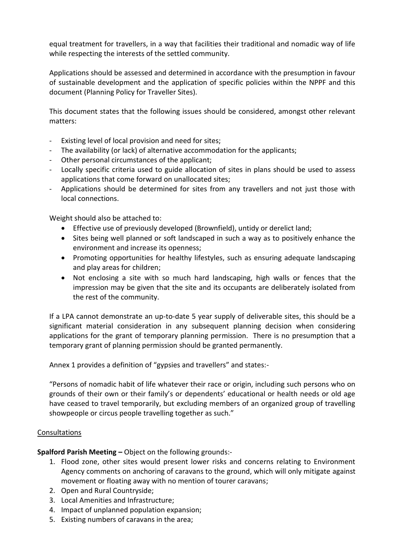equal treatment for travellers, in a way that facilities their traditional and nomadic way of life while respecting the interests of the settled community.

Applications should be assessed and determined in accordance with the presumption in favour of sustainable development and the application of specific policies within the NPPF and this document (Planning Policy for Traveller Sites).

This document states that the following issues should be considered, amongst other relevant matters:

- Existing level of local provision and need for sites;
- The availability (or lack) of alternative accommodation for the applicants;
- Other personal circumstances of the applicant;
- Locally specific criteria used to guide allocation of sites in plans should be used to assess applications that come forward on unallocated sites;
- Applications should be determined for sites from any travellers and not just those with local connections.

Weight should also be attached to:

- Effective use of previously developed (Brownfield), untidy or derelict land;
- Sites being well planned or soft landscaped in such a way as to positively enhance the environment and increase its openness;
- Promoting opportunities for healthy lifestyles, such as ensuring adequate landscaping and play areas for children;
- Not enclosing a site with so much hard landscaping, high walls or fences that the impression may be given that the site and its occupants are deliberately isolated from the rest of the community.

If a LPA cannot demonstrate an up-to-date 5 year supply of deliverable sites, this should be a significant material consideration in any subsequent planning decision when considering applications for the grant of temporary planning permission. There is no presumption that a temporary grant of planning permission should be granted permanently.

Annex 1 provides a definition of "gypsies and travellers" and states:-

"Persons of nomadic habit of life whatever their race or origin, including such persons who on grounds of their own or their family's or dependents' educational or health needs or old age have ceased to travel temporarily, but excluding members of an organized group of travelling showpeople or circus people travelling together as such."

# Consultations

**Spalford Parish Meeting –** Object on the following grounds:-

- 1. Flood zone, other sites would present lower risks and concerns relating to Environment Agency comments on anchoring of caravans to the ground, which will only mitigate against movement or floating away with no mention of tourer caravans;
- 2. Open and Rural Countryside;
- 3. Local Amenities and Infrastructure;
- 4. Impact of unplanned population expansion;
- 5. Existing numbers of caravans in the area;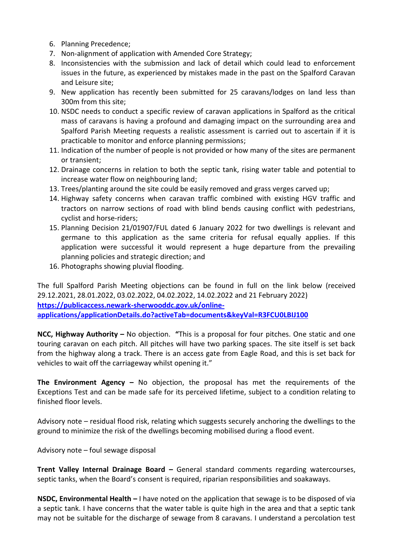- 6. Planning Precedence;
- 7. Non-alignment of application with Amended Core Strategy;
- 8. Inconsistencies with the submission and lack of detail which could lead to enforcement issues in the future, as experienced by mistakes made in the past on the Spalford Caravan and Leisure site;
- 9. New application has recently been submitted for 25 caravans/lodges on land less than 300m from this site;
- 10. NSDC needs to conduct a specific review of caravan applications in Spalford as the critical mass of caravans is having a profound and damaging impact on the surrounding area and Spalford Parish Meeting requests a realistic assessment is carried out to ascertain if it is practicable to monitor and enforce planning permissions;
- 11. Indication of the number of people is not provided or how many of the sites are permanent or transient;
- 12. Drainage concerns in relation to both the septic tank, rising water table and potential to increase water flow on neighbouring land;
- 13. Trees/planting around the site could be easily removed and grass verges carved up;
- 14. Highway safety concerns when caravan traffic combined with existing HGV traffic and tractors on narrow sections of road with blind bends causing conflict with pedestrians, cyclist and horse-riders;
- 15. Planning Decision 21/01907/FUL dated 6 January 2022 for two dwellings is relevant and germane to this application as the same criteria for refusal equally applies. If this application were successful it would represent a huge departure from the prevailing planning policies and strategic direction; and
- 16. Photographs showing pluvial flooding.

The full Spalford Parish Meeting objections can be found in full on the link below (received 29.12.2021, 28.01.2022, 03.02.2022, 04.02.2022, 14.02.2022 and 21 February 2022) **[https://publicaccess.newark-sherwooddc.gov.uk/online](https://publicaccess.newark-sherwooddc.gov.uk/online-applications/applicationDetails.do?activeTab=documents&keyVal=R3FCU0LBIJ100)[applications/applicationDetails.do?activeTab=documents&keyVal=R3FCU0LBIJ100](https://publicaccess.newark-sherwooddc.gov.uk/online-applications/applicationDetails.do?activeTab=documents&keyVal=R3FCU0LBIJ100)**

**NCC, Highway Authority –** No objection. **"**This is a proposal for four pitches. One static and one touring caravan on each pitch. All pitches will have two parking spaces. The site itself is set back from the highway along a track. There is an access gate from Eagle Road, and this is set back for vehicles to wait off the carriageway whilst opening it."

**The Environment Agency –** No objection, the proposal has met the requirements of the Exceptions Test and can be made safe for its perceived lifetime, subject to a condition relating to finished floor levels.

Advisory note – residual flood risk, relating which suggests securely anchoring the dwellings to the ground to minimize the risk of the dwellings becoming mobilised during a flood event.

Advisory note – foul sewage disposal

**Trent Valley Internal Drainage Board –** General standard comments regarding watercourses, septic tanks, when the Board's consent is required, riparian responsibilities and soakaways.

**NSDC, Environmental Health –** I have noted on the application that sewage is to be disposed of via a septic tank. I have concerns that the water table is quite high in the area and that a septic tank may not be suitable for the discharge of sewage from 8 caravans. I understand a percolation test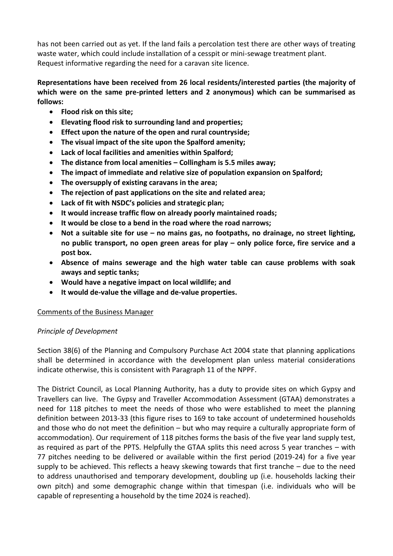has not been carried out as yet. If the land fails a percolation test there are other ways of treating waste water, which could include installation of a cesspit or mini-sewage treatment plant. Request informative regarding the need for a caravan site licence.

# **Representations have been received from 26 local residents/interested parties (the majority of which were on the same pre-printed letters and 2 anonymous) which can be summarised as follows:**

- **Flood risk on this site;**
- **Elevating flood risk to surrounding land and properties;**
- **Effect upon the nature of the open and rural countryside;**
- **The visual impact of the site upon the Spalford amenity;**
- **Lack of local facilities and amenities within Spalford;**
- **The distance from local amenities – Collingham is 5.5 miles away;**
- **The impact of immediate and relative size of population expansion on Spalford;**
- **The oversupply of existing caravans in the area;**
- **The rejection of past applications on the site and related area;**
- **Lack of fit with NSDC's policies and strategic plan;**
- **It would increase traffic flow on already poorly maintained roads;**
- **It would be close to a bend in the road where the road narrows;**
- **Not a suitable site for use – no mains gas, no footpaths, no drainage, no street lighting, no public transport, no open green areas for play – only police force, fire service and a post box.**
- **Absence of mains sewerage and the high water table can cause problems with soak aways and septic tanks;**
- **Would have a negative impact on local wildlife; and**
- **It would de-value the village and de-value properties.**

#### Comments of the Business Manager

# *Principle of Development*

Section 38(6) of the Planning and Compulsory Purchase Act 2004 state that planning applications shall be determined in accordance with the development plan unless material considerations indicate otherwise, this is consistent with Paragraph 11 of the NPPF.

The District Council, as Local Planning Authority, has a duty to provide sites on which Gypsy and Travellers can live. The Gypsy and Traveller Accommodation Assessment (GTAA) demonstrates a need for 118 pitches to meet the needs of those who were established to meet the planning definition between 2013-33 (this figure rises to 169 to take account of undetermined households and those who do not meet the definition – but who may require a culturally appropriate form of accommodation). Our requirement of 118 pitches forms the basis of the five year land supply test, as required as part of the PPTS. Helpfully the GTAA splits this need across 5 year tranches – with 77 pitches needing to be delivered or available within the first period (2019-24) for a five year supply to be achieved. This reflects a heavy skewing towards that first tranche – due to the need to address unauthorised and temporary development, doubling up (i.e. households lacking their own pitch) and some demographic change within that timespan (i.e. individuals who will be capable of representing a household by the time 2024 is reached).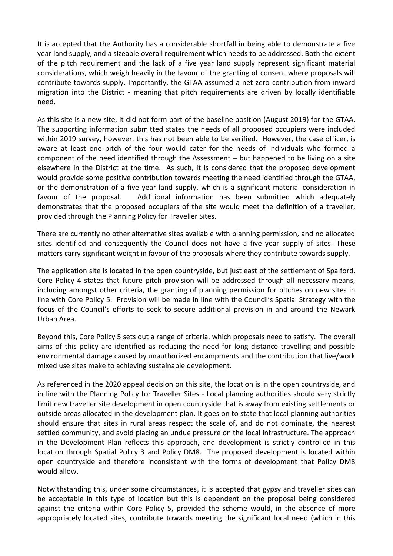It is accepted that the Authority has a considerable shortfall in being able to demonstrate a five year land supply, and a sizeable overall requirement which needs to be addressed. Both the extent of the pitch requirement and the lack of a five year land supply represent significant material considerations, which weigh heavily in the favour of the granting of consent where proposals will contribute towards supply. Importantly, the GTAA assumed a net zero contribution from inward migration into the District - meaning that pitch requirements are driven by locally identifiable need.

As this site is a new site, it did not form part of the baseline position (August 2019) for the GTAA. The supporting information submitted states the needs of all proposed occupiers were included within 2019 survey, however, this has not been able to be verified. However, the case officer, is aware at least one pitch of the four would cater for the needs of individuals who formed a component of the need identified through the Assessment – but happened to be living on a site elsewhere in the District at the time. As such, it is considered that the proposed development would provide some positive contribution towards meeting the need identified through the GTAA, or the demonstration of a five year land supply, which is a significant material consideration in favour of the proposal. Additional information has been submitted which adequately demonstrates that the proposed occupiers of the site would meet the definition of a traveller, provided through the Planning Policy for Traveller Sites.

There are currently no other alternative sites available with planning permission, and no allocated sites identified and consequently the Council does not have a five year supply of sites. These matters carry significant weight in favour of the proposals where they contribute towards supply.

The application site is located in the open countryside, but just east of the settlement of Spalford. Core Policy 4 states that future pitch provision will be addressed through all necessary means, including amongst other criteria, the granting of planning permission for pitches on new sites in line with Core Policy 5. Provision will be made in line with the Council's Spatial Strategy with the focus of the Council's efforts to seek to secure additional provision in and around the Newark Urban Area.

Beyond this, Core Policy 5 sets out a range of criteria, which proposals need to satisfy. The overall aims of this policy are identified as reducing the need for long distance travelling and possible environmental damage caused by unauthorized encampments and the contribution that live/work mixed use sites make to achieving sustainable development.

As referenced in the 2020 appeal decision on this site, the location is in the open countryside, and in line with the Planning Policy for Traveller Sites - Local planning authorities should very strictly limit new traveller site development in open countryside that is away from existing settlements or outside areas allocated in the development plan. It goes on to state that local planning authorities should ensure that sites in rural areas respect the scale of, and do not dominate, the nearest settled community, and avoid placing an undue pressure on the local infrastructure. The approach in the Development Plan reflects this approach, and development is strictly controlled in this location through Spatial Policy 3 and Policy DM8. The proposed development is located within open countryside and therefore inconsistent with the forms of development that Policy DM8 would allow.

Notwithstanding this, under some circumstances, it is accepted that gypsy and traveller sites can be acceptable in this type of location but this is dependent on the proposal being considered against the criteria within Core Policy 5, provided the scheme would, in the absence of more appropriately located sites, contribute towards meeting the significant local need (which in this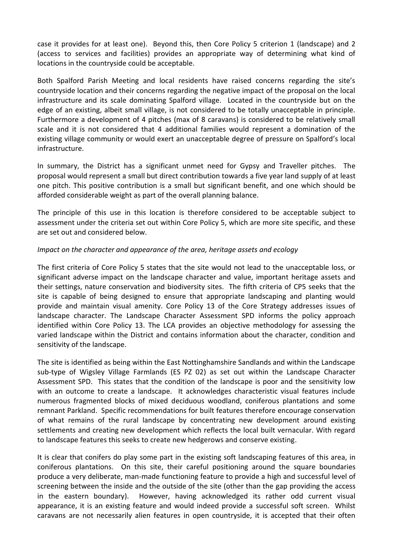case it provides for at least one). Beyond this, then Core Policy 5 criterion 1 (landscape) and 2 (access to services and facilities) provides an appropriate way of determining what kind of locations in the countryside could be acceptable.

Both Spalford Parish Meeting and local residents have raised concerns regarding the site's countryside location and their concerns regarding the negative impact of the proposal on the local infrastructure and its scale dominating Spalford village. Located in the countryside but on the edge of an existing, albeit small village, is not considered to be totally unacceptable in principle. Furthermore a development of 4 pitches (max of 8 caravans) is considered to be relatively small scale and it is not considered that 4 additional families would represent a domination of the existing village community or would exert an unacceptable degree of pressure on Spalford's local infrastructure.

In summary, the District has a significant unmet need for Gypsy and Traveller pitches. The proposal would represent a small but direct contribution towards a five year land supply of at least one pitch. This positive contribution is a small but significant benefit, and one which should be afforded considerable weight as part of the overall planning balance.

The principle of this use in this location is therefore considered to be acceptable subject to assessment under the criteria set out within Core Policy 5, which are more site specific, and these are set out and considered below.

### *Impact on the character and appearance of the area, heritage assets and ecology*

The first criteria of Core Policy 5 states that the site would not lead to the unacceptable loss, or significant adverse impact on the landscape character and value, important heritage assets and their settings, nature conservation and biodiversity sites. The fifth criteria of CP5 seeks that the site is capable of being designed to ensure that appropriate landscaping and planting would provide and maintain visual amenity. Core Policy 13 of the Core Strategy addresses issues of landscape character. The Landscape Character Assessment SPD informs the policy approach identified within Core Policy 13. The LCA provides an objective methodology for assessing the varied landscape within the District and contains information about the character, condition and sensitivity of the landscape.

The site is identified as being within the East Nottinghamshire Sandlands and within the Landscape sub-type of Wigsley Village Farmlands (ES PZ 02) as set out within the Landscape Character Assessment SPD. This states that the condition of the landscape is poor and the sensitivity low with an outcome to create a landscape. It acknowledges characteristic visual features include numerous fragmented blocks of mixed deciduous woodland, coniferous plantations and some remnant Parkland. Specific recommendations for built features therefore encourage conservation of what remains of the rural landscape by concentrating new development around existing settlements and creating new development which reflects the local built vernacular. With regard to landscape features this seeks to create new hedgerows and conserve existing.

It is clear that conifers do play some part in the existing soft landscaping features of this area, in coniferous plantations. On this site, their careful positioning around the square boundaries produce a very deliberate, man-made functioning feature to provide a high and successful level of screening between the inside and the outside of the site (other than the gap providing the access in the eastern boundary). However, having acknowledged its rather odd current visual appearance, it is an existing feature and would indeed provide a successful soft screen. Whilst caravans are not necessarily alien features in open countryside, it is accepted that their often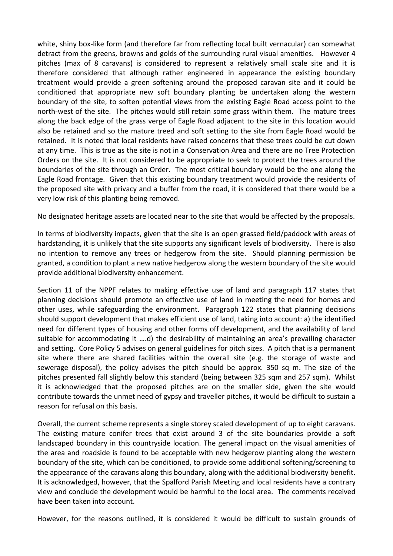white, shiny box-like form (and therefore far from reflecting local built vernacular) can somewhat detract from the greens, browns and golds of the surrounding rural visual amenities. However 4 pitches (max of 8 caravans) is considered to represent a relatively small scale site and it is therefore considered that although rather engineered in appearance the existing boundary treatment would provide a green softening around the proposed caravan site and it could be conditioned that appropriate new soft boundary planting be undertaken along the western boundary of the site, to soften potential views from the existing Eagle Road access point to the north-west of the site. The pitches would still retain some grass within them. The mature trees along the back edge of the grass verge of Eagle Road adjacent to the site in this location would also be retained and so the mature treed and soft setting to the site from Eagle Road would be retained. It is noted that local residents have raised concerns that these trees could be cut down at any time. This is true as the site is not in a Conservation Area and there are no Tree Protection Orders on the site. It is not considered to be appropriate to seek to protect the trees around the boundaries of the site through an Order. The most critical boundary would be the one along the Eagle Road frontage. Given that this existing boundary treatment would provide the residents of the proposed site with privacy and a buffer from the road, it is considered that there would be a very low risk of this planting being removed.

No designated heritage assets are located near to the site that would be affected by the proposals.

In terms of biodiversity impacts, given that the site is an open grassed field/paddock with areas of hardstanding, it is unlikely that the site supports any significant levels of biodiversity. There is also no intention to remove any trees or hedgerow from the site. Should planning permission be granted, a condition to plant a new native hedgerow along the western boundary of the site would provide additional biodiversity enhancement.

Section 11 of the NPPF relates to making effective use of land and paragraph 117 states that planning decisions should promote an effective use of land in meeting the need for homes and other uses, while safeguarding the environment. Paragraph 122 states that planning decisions should support development that makes efficient use of land, taking into account: a) the identified need for different types of housing and other forms off development, and the availability of land suitable for accommodating it ….d) the desirability of maintaining an area's prevailing character and setting. Core Policy 5 advises on general guidelines for pitch sizes. A pitch that is a permanent site where there are shared facilities within the overall site (e.g. the storage of waste and sewerage disposal), the policy advises the pitch should be approx. 350 sq m. The size of the pitches presented fall slightly below this standard (being between 325 sqm and 257 sqm). Whilst it is acknowledged that the proposed pitches are on the smaller side, given the site would contribute towards the unmet need of gypsy and traveller pitches, it would be difficult to sustain a reason for refusal on this basis.

Overall, the current scheme represents a single storey scaled development of up to eight caravans. The existing mature conifer trees that exist around 3 of the site boundaries provide a soft landscaped boundary in this countryside location. The general impact on the visual amenities of the area and roadside is found to be acceptable with new hedgerow planting along the western boundary of the site, which can be conditioned, to provide some additional softening/screening to the appearance of the caravans along this boundary, along with the additional biodiversity benefit. It is acknowledged, however, that the Spalford Parish Meeting and local residents have a contrary view and conclude the development would be harmful to the local area. The comments received have been taken into account.

However, for the reasons outlined, it is considered it would be difficult to sustain grounds of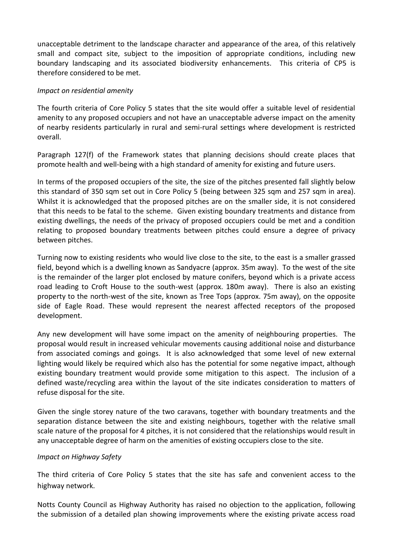unacceptable detriment to the landscape character and appearance of the area, of this relatively small and compact site, subject to the imposition of appropriate conditions, including new boundary landscaping and its associated biodiversity enhancements. This criteria of CP5 is therefore considered to be met.

#### *Impact on residential amenity*

The fourth criteria of Core Policy 5 states that the site would offer a suitable level of residential amenity to any proposed occupiers and not have an unacceptable adverse impact on the amenity of nearby residents particularly in rural and semi-rural settings where development is restricted overall.

Paragraph 127(f) of the Framework states that planning decisions should create places that promote health and well-being with a high standard of amenity for existing and future users.

In terms of the proposed occupiers of the site, the size of the pitches presented fall slightly below this standard of 350 sqm set out in Core Policy 5 (being between 325 sqm and 257 sqm in area). Whilst it is acknowledged that the proposed pitches are on the smaller side, it is not considered that this needs to be fatal to the scheme. Given existing boundary treatments and distance from existing dwellings, the needs of the privacy of proposed occupiers could be met and a condition relating to proposed boundary treatments between pitches could ensure a degree of privacy between pitches.

Turning now to existing residents who would live close to the site, to the east is a smaller grassed field, beyond which is a dwelling known as Sandyacre (approx. 35m away). To the west of the site is the remainder of the larger plot enclosed by mature conifers, beyond which is a private access road leading to Croft House to the south-west (approx. 180m away). There is also an existing property to the north-west of the site, known as Tree Tops (approx. 75m away), on the opposite side of Eagle Road. These would represent the nearest affected receptors of the proposed development.

Any new development will have some impact on the amenity of neighbouring properties. The proposal would result in increased vehicular movements causing additional noise and disturbance from associated comings and goings. It is also acknowledged that some level of new external lighting would likely be required which also has the potential for some negative impact, although existing boundary treatment would provide some mitigation to this aspect. The inclusion of a defined waste/recycling area within the layout of the site indicates consideration to matters of refuse disposal for the site.

Given the single storey nature of the two caravans, together with boundary treatments and the separation distance between the site and existing neighbours, together with the relative small scale nature of the proposal for 4 pitches, it is not considered that the relationships would result in any unacceptable degree of harm on the amenities of existing occupiers close to the site.

#### *Impact on Highway Safety*

The third criteria of Core Policy 5 states that the site has safe and convenient access to the highway network.

Notts County Council as Highway Authority has raised no objection to the application, following the submission of a detailed plan showing improvements where the existing private access road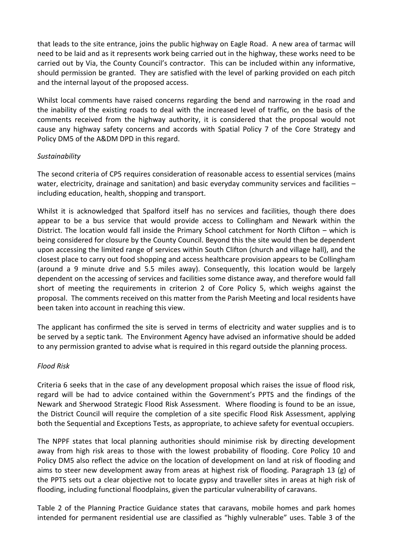that leads to the site entrance, joins the public highway on Eagle Road. A new area of tarmac will need to be laid and as it represents work being carried out in the highway, these works need to be carried out by Via, the County Council's contractor. This can be included within any informative, should permission be granted. They are satisfied with the level of parking provided on each pitch and the internal layout of the proposed access.

Whilst local comments have raised concerns regarding the bend and narrowing in the road and the inability of the existing roads to deal with the increased level of traffic, on the basis of the comments received from the highway authority, it is considered that the proposal would not cause any highway safety concerns and accords with Spatial Policy 7 of the Core Strategy and Policy DM5 of the A&DM DPD in this regard.

### *Sustainability*

The second criteria of CP5 requires consideration of reasonable access to essential services (mains water, electricity, drainage and sanitation) and basic everyday community services and facilities including education, health, shopping and transport.

Whilst it is acknowledged that Spalford itself has no services and facilities, though there does appear to be a bus service that would provide access to Collingham and Newark within the District. The location would fall inside the Primary School catchment for North Clifton – which is being considered for closure by the County Council. Beyond this the site would then be dependent upon accessing the limited range of services within South Clifton (church and village hall), and the closest place to carry out food shopping and access healthcare provision appears to be Collingham (around a 9 minute drive and 5.5 miles away). Consequently, this location would be largely dependent on the accessing of services and facilities some distance away, and therefore would fall short of meeting the requirements in criterion 2 of Core Policy 5, which weighs against the proposal. The comments received on this matter from the Parish Meeting and local residents have been taken into account in reaching this view.

The applicant has confirmed the site is served in terms of electricity and water supplies and is to be served by a septic tank. The Environment Agency have advised an informative should be added to any permission granted to advise what is required in this regard outside the planning process.

#### *Flood Risk*

Criteria 6 seeks that in the case of any development proposal which raises the issue of flood risk, regard will be had to advice contained within the Government's PPTS and the findings of the Newark and Sherwood Strategic Flood Risk Assessment. Where flooding is found to be an issue, the District Council will require the completion of a site specific Flood Risk Assessment, applying both the Sequential and Exceptions Tests, as appropriate, to achieve safety for eventual occupiers.

The NPPF states that local planning authorities should minimise risk by directing development away from high risk areas to those with the lowest probability of flooding. Core Policy 10 and Policy DM5 also reflect the advice on the location of development on land at risk of flooding and aims to steer new development away from areas at highest risk of flooding. Paragraph 13 (g) of the PPTS sets out a clear objective not to locate gypsy and traveller sites in areas at high risk of flooding, including functional floodplains, given the particular vulnerability of caravans.

Table 2 of the Planning Practice Guidance states that caravans, mobile homes and park homes intended for permanent residential use are classified as "highly vulnerable" uses. Table 3 of the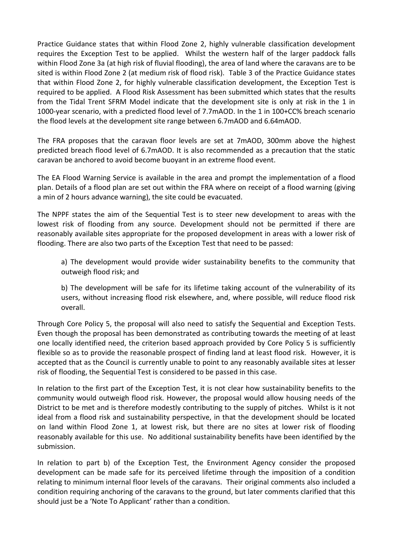Practice Guidance states that within Flood Zone 2, highly vulnerable classification development requires the Exception Test to be applied. Whilst the western half of the larger paddock falls within Flood Zone 3a (at high risk of fluvial flooding), the area of land where the caravans are to be sited is within Flood Zone 2 (at medium risk of flood risk). Table 3 of the Practice Guidance states that within Flood Zone 2, for highly vulnerable classification development, the Exception Test is required to be applied. A Flood Risk Assessment has been submitted which states that the results from the Tidal Trent SFRM Model indicate that the development site is only at risk in the 1 in 1000-year scenario, with a predicted flood level of 7.7mAOD. In the 1 in 100+CC% breach scenario the flood levels at the development site range between 6.7mAOD and 6.64mAOD.

The FRA proposes that the caravan floor levels are set at 7mAOD, 300mm above the highest predicted breach flood level of 6.7mAOD. It is also recommended as a precaution that the static caravan be anchored to avoid become buoyant in an extreme flood event.

The EA Flood Warning Service is available in the area and prompt the implementation of a flood plan. Details of a flood plan are set out within the FRA where on receipt of a flood warning (giving a min of 2 hours advance warning), the site could be evacuated.

The NPPF states the aim of the Sequential Test is to steer new development to areas with the lowest risk of flooding from any source. Development should not be permitted if there are reasonably available sites appropriate for the proposed development in areas with a lower risk of flooding. There are also two parts of the Exception Test that need to be passed:

a) The development would provide wider sustainability benefits to the community that outweigh flood risk; and

b) The development will be safe for its lifetime taking account of the vulnerability of its users, without increasing flood risk elsewhere, and, where possible, will reduce flood risk overall.

Through Core Policy 5, the proposal will also need to satisfy the Sequential and Exception Tests. Even though the proposal has been demonstrated as contributing towards the meeting of at least one locally identified need, the criterion based approach provided by Core Policy 5 is sufficiently flexible so as to provide the reasonable prospect of finding land at least flood risk. However, it is accepted that as the Council is currently unable to point to any reasonably available sites at lesser risk of flooding, the Sequential Test is considered to be passed in this case.

In relation to the first part of the Exception Test, it is not clear how sustainability benefits to the community would outweigh flood risk. However, the proposal would allow housing needs of the District to be met and is therefore modestly contributing to the supply of pitches. Whilst is it not ideal from a flood risk and sustainability perspective, in that the development should be located on land within Flood Zone 1, at lowest risk, but there are no sites at lower risk of flooding reasonably available for this use. No additional sustainability benefits have been identified by the submission.

In relation to part b) of the Exception Test, the Environment Agency consider the proposed development can be made safe for its perceived lifetime through the imposition of a condition relating to minimum internal floor levels of the caravans. Their original comments also included a condition requiring anchoring of the caravans to the ground, but later comments clarified that this should just be a 'Note To Applicant' rather than a condition.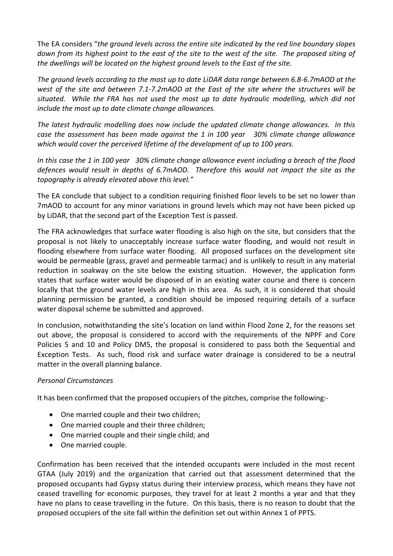The EA considers "*the ground levels across the entire site indicated by the red line boundary slopes down from its highest point to the east of the site to the west of the site. The proposed siting of the dwellings will be located on the highest ground levels to the East of the site.*

*The ground levels according to the most up to date LiDAR data range between 6.8-6.7mAOD at the west of the site and between 7.1-7.2mAOD at the East of the site where the structures will be situated. While the FRA has not used the most up to date hydraulic modelling, which did not include the most up to date climate change allowances.*

*The latest hydraulic modelling does now include the updated climate change allowances. In this case the assessment has been made against the 1 in 100 year 30% climate change allowance which would cover the perceived lifetime of the development of up to 100 years.*

*In this case the 1 in 100 year 30% climate change allowance event including a breach of the flood defences would result in depths of 6.7mAOD. Therefore this would not impact the site as the topography is already elevated above this level."*

The EA conclude that subject to a condition requiring finished floor levels to be set no lower than 7mAOD to account for any minor variations in ground levels which may not have been picked up by LiDAR, that the second part of the Exception Test is passed.

The FRA acknowledges that surface water flooding is also high on the site, but considers that the proposal is not likely to unacceptably increase surface water flooding, and would not result in flooding elsewhere from surface water flooding. All proposed surfaces on the development site would be permeable (grass, gravel and permeable tarmac) and is unlikely to result in any material reduction in soakway on the site below the existing situation. However, the application form states that surface water would be disposed of in an existing water course and there is concern locally that the ground water levels are high in this area. As such, it is considered that should planning permission be granted, a condition should be imposed requiring details of a surface water disposal scheme be submitted and approved.

In conclusion, notwithstanding the site's location on land within Flood Zone 2, for the reasons set out above, the proposal is considered to accord with the requirements of the NPPF and Core Policies 5 and 10 and Policy DM5, the proposal is considered to pass both the Sequential and Exception Tests. As such, flood risk and surface water drainage is considered to be a neutral matter in the overall planning balance.

# *Personal Circumstances*

It has been confirmed that the proposed occupiers of the pitches, comprise the following:-

- One married couple and their two children;
- One married couple and their three children:
- One married couple and their single child; and
- One married couple.

Confirmation has been received that the intended occupants were included in the most recent GTAA (July 2019) and the organization that carried out that assessment determined that the proposed occupants had Gypsy status during their interview process, which means they have not ceased travelling for economic purposes, they travel for at least 2 months a year and that they have no plans to cease travelling in the future. On this basis, there is no reason to doubt that the proposed occupiers of the site fall within the definition set out within Annex 1 of PPTS.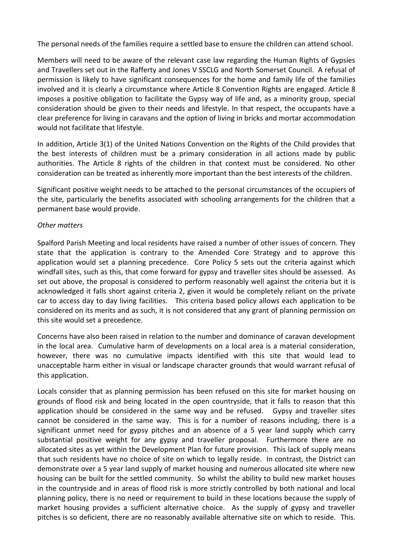The personal needs of the families require a settled base to ensure the children can attend school.

Members will need to be aware of the relevant case law regarding the Human Rights of Gypsies and Travellers set out in the Rafferty and Jones V SSCLG and North Somerset Council. A refusal of permission is likely to have significant consequences for the home and family life of the families involved and it is clearly a circumstance where Article 8 Convention Rights are engaged. Article 8 imposes a positive obligation to facilitate the Gypsy way of life and, as a minority group, special consideration should be given to their needs and lifestyle. In that respect, the occupants have a clear preference for living in caravans and the option of living in bricks and mortar accommodation would not facilitate that lifestyle.

In addition, Article 3(1) of the United Nations Convention on the Rights of the Child provides that the best interests of children must be a primary consideration in all actions made by public authorities. The Article 8 rights of the children in that context must be considered. No other consideration can be treated as inherently more important than the best interests of the children.

Significant positive weight needs to be attached to the personal circumstances of the occupiers of the site, particularly the benefits associated with schooling arrangements for the children that a permanent base would provide.

### *Other matters*

Spalford Parish Meeting and local residents have raised a number of other issues of concern. They state that the application is contrary to the Amended Core Strategy and to approve this application would set a planning precedence. Core Policy 5 sets out the criteria against which windfall sites, such as this, that come forward for gypsy and traveller sites should be assessed. As set out above, the proposal is considered to perform reasonably well against the criteria but it is acknowledged it falls short against criteria 2, given it would be completely reliant on the private car to access day to day living facilities. This criteria based policy allows each application to be considered on its merits and as such, it is not considered that any grant of planning permission on this site would set a precedence.

Concerns have also been raised in relation to the number and dominance of caravan development in the local area. Cumulative harm of developments on a local area is a material consideration, however, there was no cumulative impacts identified with this site that would lead to unacceptable harm either in visual or landscape character grounds that would warrant refusal of this application.

Locals consider that as planning permission has been refused on this site for market housing on grounds of flood risk and being located in the open countryside, that it falls to reason that this application should be considered in the same way and be refused. Gypsy and traveller sites cannot be considered in the same way. This is for a number of reasons including, there is a significant unmet need for gypsy pitches and an absence of a 5 year land supply which carry substantial positive weight for any gypsy and traveller proposal. Furthermore there are no allocated sites as yet within the Development Plan for future provision. This lack of supply means that such residents have no choice of site on which to legally reside. In contrast, the District can demonstrate over a 5 year land supply of market housing and numerous allocated site where new housing can be built for the settled community. So whilst the ability to build new market houses in the countryside and in areas of flood risk is more strictly controlled by both national and local planning policy, there is no need or requirement to build in these locations because the supply of market housing provides a sufficient alternative choice. As the supply of gypsy and traveller pitches is so deficient, there are no reasonably available alternative site on which to reside. This.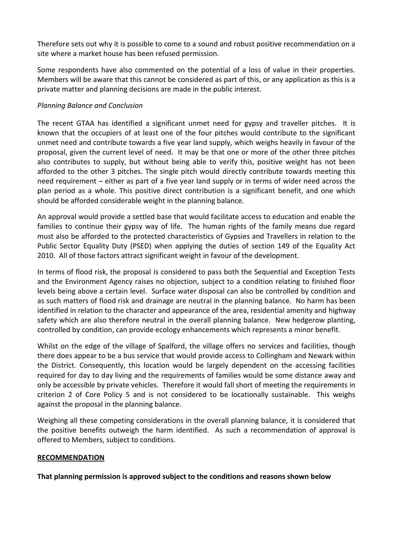Therefore sets out why it is possible to come to a sound and robust positive recommendation on a site where a market house has been refused permission.

Some respondents have also commented on the potential of a loss of value in their properties. Members will be aware that this cannot be considered as part of this, or any application as this is a private matter and planning decisions are made in the public interest.

## *Planning Balance and Conclusion*

The recent GTAA has identified a significant unmet need for gypsy and traveller pitches. It is known that the occupiers of at least one of the four pitches would contribute to the significant unmet need and contribute towards a five year land supply, which weighs heavily in favour of the proposal, given the current level of need. It may be that one or more of the other three pitches also contributes to supply, but without being able to verify this, positive weight has not been afforded to the other 3 pitches. The single pitch would directly contribute towards meeting this need requirement – either as part of a five year land supply or in terms of wider need across the plan period as a whole. This positive direct contribution is a significant benefit, and one which should be afforded considerable weight in the planning balance.

An approval would provide a settled base that would facilitate access to education and enable the families to continue their gypsy way of life. The human rights of the family means due regard must also be afforded to the protected characteristics of Gypsies and Travellers in relation to the Public Sector Equality Duty (PSED) when applying the duties of section 149 of the Equality Act 2010. All of those factors attract significant weight in favour of the development.

In terms of flood risk, the proposal is considered to pass both the Sequential and Exception Tests and the Environment Agency raises no objection, subject to a condition relating to finished floor levels being above a certain level. Surface water disposal can also be controlled by condition and as such matters of flood risk and drainage are neutral in the planning balance. No harm has been identified in relation to the character and appearance of the area, residential amenity and highway safety which are also therefore neutral in the overall planning balance. New hedgerow planting, controlled by condition, can provide ecology enhancements which represents a minor benefit.

Whilst on the edge of the village of Spalford, the village offers no services and facilities, though there does appear to be a bus service that would provide access to Collingham and Newark within the District. Consequently, this location would be largely dependent on the accessing facilities required for day to day living and the requirements of families would be some distance away and only be accessible by private vehicles. Therefore it would fall short of meeting the requirements in criterion 2 of Core Policy 5 and is not considered to be locationally sustainable. This weighs against the proposal in the planning balance.

Weighing all these competing considerations in the overall planning balance, it is considered that the positive benefits outweigh the harm identified. As such a recommendation of approval is offered to Members, subject to conditions.

#### **RECOMMENDATION**

**That planning permission is approved subject to the conditions and reasons shown below**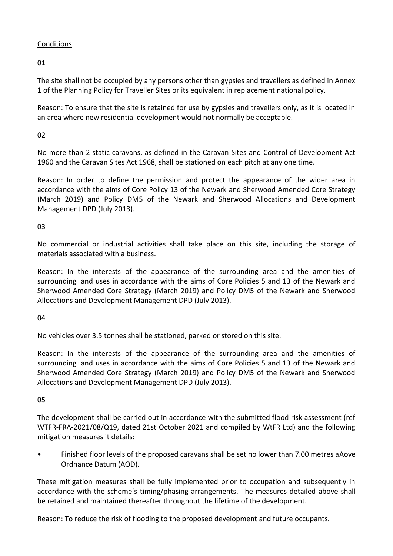# **Conditions**

01

The site shall not be occupied by any persons other than gypsies and travellers as defined in Annex 1 of the Planning Policy for Traveller Sites or its equivalent in replacement national policy.

Reason: To ensure that the site is retained for use by gypsies and travellers only, as it is located in an area where new residential development would not normally be acceptable.

 $02$ 

No more than 2 static caravans, as defined in the Caravan Sites and Control of Development Act 1960 and the Caravan Sites Act 1968, shall be stationed on each pitch at any one time.

Reason: In order to define the permission and protect the appearance of the wider area in accordance with the aims of Core Policy 13 of the Newark and Sherwood Amended Core Strategy (March 2019) and Policy DM5 of the Newark and Sherwood Allocations and Development Management DPD (July 2013).

03

No commercial or industrial activities shall take place on this site, including the storage of materials associated with a business.

Reason: In the interests of the appearance of the surrounding area and the amenities of surrounding land uses in accordance with the aims of Core Policies 5 and 13 of the Newark and Sherwood Amended Core Strategy (March 2019) and Policy DM5 of the Newark and Sherwood Allocations and Development Management DPD (July 2013).

04

No vehicles over 3.5 tonnes shall be stationed, parked or stored on this site.

Reason: In the interests of the appearance of the surrounding area and the amenities of surrounding land uses in accordance with the aims of Core Policies 5 and 13 of the Newark and Sherwood Amended Core Strategy (March 2019) and Policy DM5 of the Newark and Sherwood Allocations and Development Management DPD (July 2013).

05

The development shall be carried out in accordance with the submitted flood risk assessment (ref WTFR-FRA-2021/08/Q19, dated 21st October 2021 and compiled by WtFR Ltd) and the following mitigation measures it details:

• Finished floor levels of the proposed caravans shall be set no lower than 7.00 metres aAove Ordnance Datum (AOD).

These mitigation measures shall be fully implemented prior to occupation and subsequently in accordance with the scheme's timing/phasing arrangements. The measures detailed above shall be retained and maintained thereafter throughout the lifetime of the development.

Reason: To reduce the risk of flooding to the proposed development and future occupants.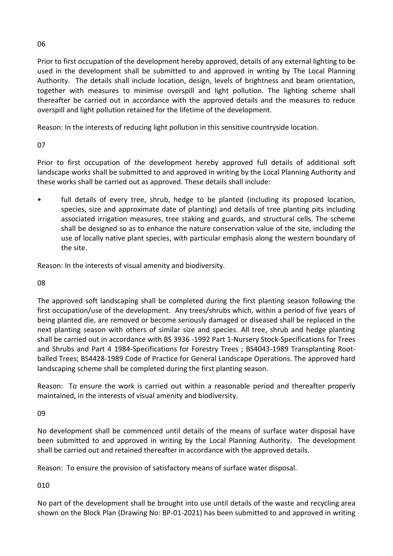Prior to first occupation of the development hereby approved, details of any external lighting to be used in the development shall be submitted to and approved in writing by The Local Planning Authority. The details shall include location, design, levels of brightness and beam orientation, together with measures to minimise overspill and light pollution. The lighting scheme shall thereafter be carried out in accordance with the approved details and the measures to reduce overspill and light pollution retained for the lifetime of the development.

Reason: In the interests of reducing light pollution in this sensitive countryside location.

07

Prior to first occupation of the development hereby approved full details of additional soft landscape works shall be submitted to and approved in writing by the Local Planning Authority and these works shall be carried out as approved. These details shall include:

• full details of every tree, shrub, hedge to be planted (including its proposed location, species, size and approximate date of planting) and details of tree planting pits including associated irrigation measures, tree staking and guards, and structural cells. The scheme shall be designed so as to enhance the nature conservation value of the site, including the use of locally native plant species, with particular emphasis along the western boundary of the site.

Reason: In the interests of visual amenity and biodiversity.

08

The approved soft landscaping shall be completed during the first planting season following the first occupation/use of the development. Any trees/shrubs which, within a period of five years of being planted die, are removed or become seriously damaged or diseased shall be replaced in the next planting season with others of similar size and species. All tree, shrub and hedge planting shall be carried out in accordance with BS 3936 -1992 Part 1-Nursery Stock-Specifications for Trees and Shrubs and Part 4 1984-Specifications for Forestry Trees ; BS4043-1989 Transplanting Rootballed Trees; BS4428-1989 Code of Practice for General Landscape Operations. The approved hard landscaping scheme shall be completed during the first planting season.

Reason: To ensure the work is carried out within a reasonable period and thereafter properly maintained, in the interests of visual amenity and biodiversity.

09

No development shall be commenced until details of the means of surface water disposal have been submitted to and approved in writing by the Local Planning Authority. The development shall be carried out and retained thereafter in accordance with the approved details.

Reason: To ensure the provision of satisfactory means of surface water disposal.

010

No part of the development shall be brought into use until details of the waste and recycling area shown on the Block Plan (Drawing No: BP-01-2021) has been submitted to and approved in writing

06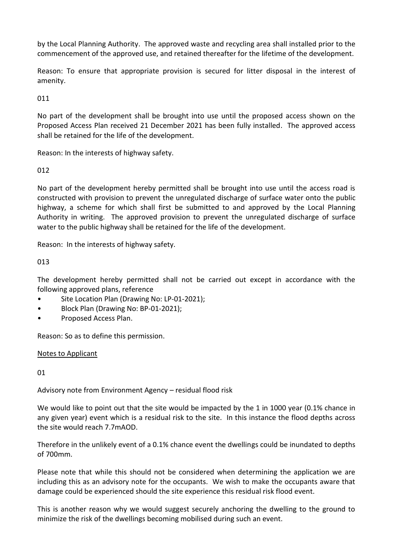by the Local Planning Authority. The approved waste and recycling area shall installed prior to the commencement of the approved use, and retained thereafter for the lifetime of the development.

Reason: To ensure that appropriate provision is secured for litter disposal in the interest of amenity.

011

No part of the development shall be brought into use until the proposed access shown on the Proposed Access Plan received 21 December 2021 has been fully installed. The approved access shall be retained for the life of the development.

Reason: In the interests of highway safety.

# 012

No part of the development hereby permitted shall be brought into use until the access road is constructed with provision to prevent the unregulated discharge of surface water onto the public highway, a scheme for which shall first be submitted to and approved by the Local Planning Authority in writing. The approved provision to prevent the unregulated discharge of surface water to the public highway shall be retained for the life of the development.

Reason: In the interests of highway safety.

# 013

The development hereby permitted shall not be carried out except in accordance with the following approved plans, reference

- Site Location Plan (Drawing No: LP-01-2021);
- Block Plan (Drawing No: BP-01-2021);
- Proposed Access Plan.

Reason: So as to define this permission.

# Notes to Applicant

# 01

Advisory note from Environment Agency – residual flood risk

We would like to point out that the site would be impacted by the 1 in 1000 year (0.1% chance in any given year) event which is a residual risk to the site. In this instance the flood depths across the site would reach 7.7mAOD.

Therefore in the unlikely event of a 0.1% chance event the dwellings could be inundated to depths of 700mm.

Please note that while this should not be considered when determining the application we are including this as an advisory note for the occupants. We wish to make the occupants aware that damage could be experienced should the site experience this residual risk flood event.

This is another reason why we would suggest securely anchoring the dwelling to the ground to minimize the risk of the dwellings becoming mobilised during such an event.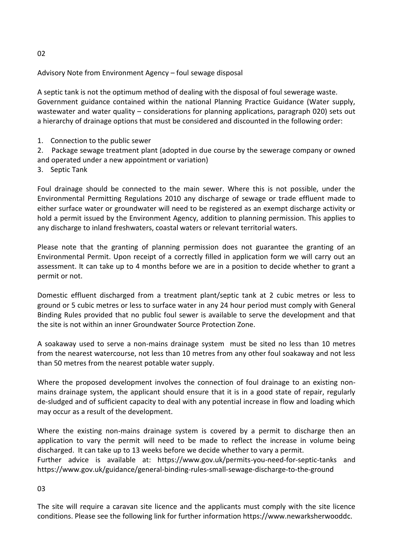Advisory Note from Environment Agency – foul sewage disposal

A septic tank is not the optimum method of dealing with the disposal of foul sewerage waste. Government guidance contained within the national Planning Practice Guidance (Water supply, wastewater and water quality – considerations for planning applications, paragraph 020) sets out a hierarchy of drainage options that must be considered and discounted in the following order:

1. Connection to the public sewer

2. Package sewage treatment plant (adopted in due course by the sewerage company or owned and operated under a new appointment or variation)

3. Septic Tank

Foul drainage should be connected to the main sewer. Where this is not possible, under the Environmental Permitting Regulations 2010 any discharge of sewage or trade effluent made to either surface water or groundwater will need to be registered as an exempt discharge activity or hold a permit issued by the Environment Agency, addition to planning permission. This applies to any discharge to inland freshwaters, coastal waters or relevant territorial waters.

Please note that the granting of planning permission does not guarantee the granting of an Environmental Permit. Upon receipt of a correctly filled in application form we will carry out an assessment. It can take up to 4 months before we are in a position to decide whether to grant a permit or not.

Domestic effluent discharged from a treatment plant/septic tank at 2 cubic metres or less to ground or 5 cubic metres or less to surface water in any 24 hour period must comply with General Binding Rules provided that no public foul sewer is available to serve the development and that the site is not within an inner Groundwater Source Protection Zone.

A soakaway used to serve a non-mains drainage system must be sited no less than 10 metres from the nearest watercourse, not less than 10 metres from any other foul soakaway and not less than 50 metres from the nearest potable water supply.

Where the proposed development involves the connection of foul drainage to an existing nonmains drainage system, the applicant should ensure that it is in a good state of repair, regularly de-sludged and of sufficient capacity to deal with any potential increase in flow and loading which may occur as a result of the development.

Where the existing non-mains drainage system is covered by a permit to discharge then an application to vary the permit will need to be made to reflect the increase in volume being discharged. It can take up to 13 weeks before we decide whether to vary a permit. Further advice is available at: https://www.gov.uk/permits-you-need-for-septic-tanks and https://www.gov.uk/guidance/general-binding-rules-small-sewage-discharge-to-the-ground

#### 03

The site will require a caravan site licence and the applicants must comply with the site licence conditions. Please see the following link for further information https://www.newarksherwooddc.

02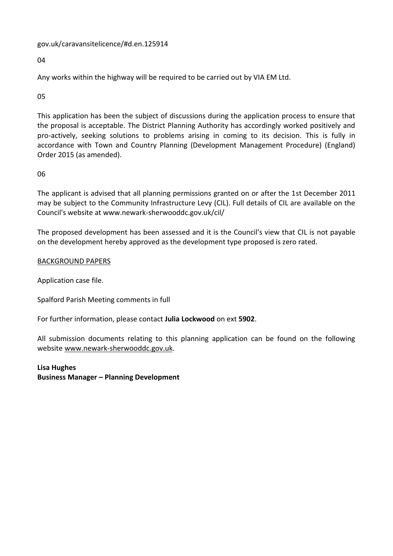gov.uk/caravansitelicence/#d.en.125914

04

Any works within the highway will be required to be carried out by VIA EM Ltd.

05

This application has been the subject of discussions during the application process to ensure that the proposal is acceptable. The District Planning Authority has accordingly worked positively and pro-actively, seeking solutions to problems arising in coming to its decision. This is fully in accordance with Town and Country Planning (Development Management Procedure) (England) Order 2015 (as amended).

06

The applicant is advised that all planning permissions granted on or after the 1st December 2011 may be subject to the Community Infrastructure Levy (CIL). Full details of CIL are available on the Council's website at www.newark-sherwooddc.gov.uk/cil/

The proposed development has been assessed and it is the Council's view that CIL is not payable on the development hereby approved as the development type proposed is zero rated.

### BACKGROUND PAPERS

Application case file.

Spalford Parish Meeting comments in full

For further information, please contact **Julia Lockwood** on ext **5902**.

All submission documents relating to this planning application can be found on the following websit[e www.newark-sherwooddc.gov.uk.](http://www.newark-sherwooddc.gov.uk/)

**Lisa Hughes Business Manager – Planning Development**